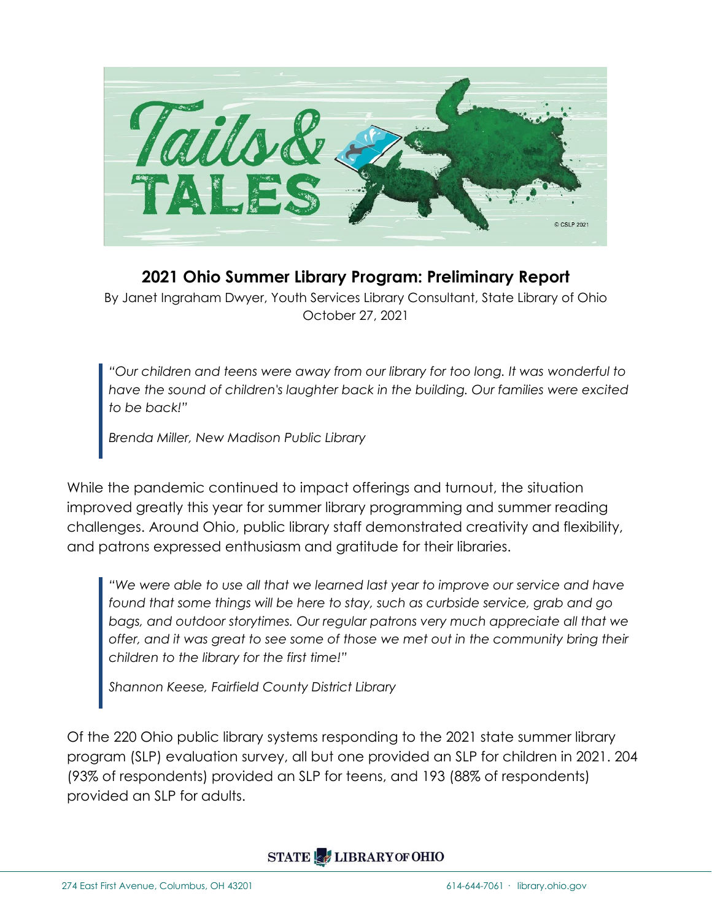

## **2021 Ohio Summer Library Program: Preliminary Report**

By Janet Ingraham Dwyer, Youth Services Library Consultant, State Library of Ohio October 27, 2021

*"Our children and teens were away from our library for too long. It was wonderful to have the sound of children's laughter back in the building. Our families were excited to be back!"*

*Brenda Miller, New Madison Public Library*

While the pandemic continued to impact offerings and turnout, the situation improved greatly this year for summer library programming and summer reading challenges. Around Ohio, public library staff demonstrated creativity and flexibility, and patrons expressed enthusiasm and gratitude for their libraries.

*"We were able to use all that we learned last year to improve our service and have found that some things will be here to stay, such as curbside service, grab and go bags, and outdoor storytimes. Our regular patrons very much appreciate all that we offer, and it was great to see some of those we met out in the community bring their children to the library for the first time!"*

*Shannon Keese, Fairfield County District Library*

Of the 220 Ohio public library systems responding to the 2021 state summer library program (SLP) evaluation survey, all but one provided an SLP for children in 2021. 204 (93% of respondents) provided an SLP for teens, and 193 (88% of respondents) provided an SLP for adults.